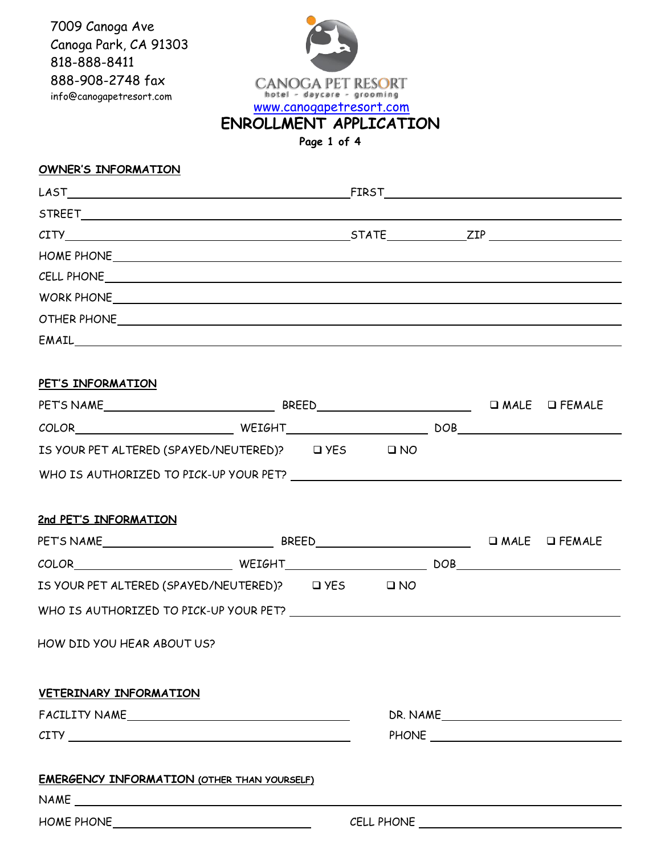7009 Canoga Ave Canoga Park, CA 91303 818-888-8411 888-908-2748 fax info@canogapetresort.com



**OWNER'S INFORMATION** 

| $CITY$ $ZIP$ $ZIP$                                 |  |  |          |
|----------------------------------------------------|--|--|----------|
|                                                    |  |  |          |
| CELL PHONE CELL PHONE CONTINUES.                   |  |  |          |
|                                                    |  |  |          |
|                                                    |  |  |          |
|                                                    |  |  |          |
|                                                    |  |  |          |
| PET'S INFORMATION                                  |  |  |          |
|                                                    |  |  |          |
|                                                    |  |  |          |
| IS YOUR PET ALTERED (SPAYED/NEUTERED)? Q YES Q NO  |  |  |          |
| WHO IS AUTHORIZED TO PICK-UP YOUR PET?             |  |  |          |
|                                                    |  |  |          |
| 2nd PET'S INFORMATION                              |  |  |          |
|                                                    |  |  |          |
|                                                    |  |  |          |
| IS YOUR PET ALTERED (SPAYED/NEUTERED)? UYES UNO    |  |  |          |
|                                                    |  |  |          |
| HOW DID YOU HEAR ABOUT US?                         |  |  |          |
|                                                    |  |  |          |
|                                                    |  |  |          |
| VETERINARY INFORMATION                             |  |  |          |
|                                                    |  |  | DR. NAME |
|                                                    |  |  |          |
|                                                    |  |  |          |
| <b>EMERGENCY INFORMATION (OTHER THAN YOURSELF)</b> |  |  |          |
|                                                    |  |  |          |
| HOME PHONE $\_\_\_\_\_\_\_\_$                      |  |  |          |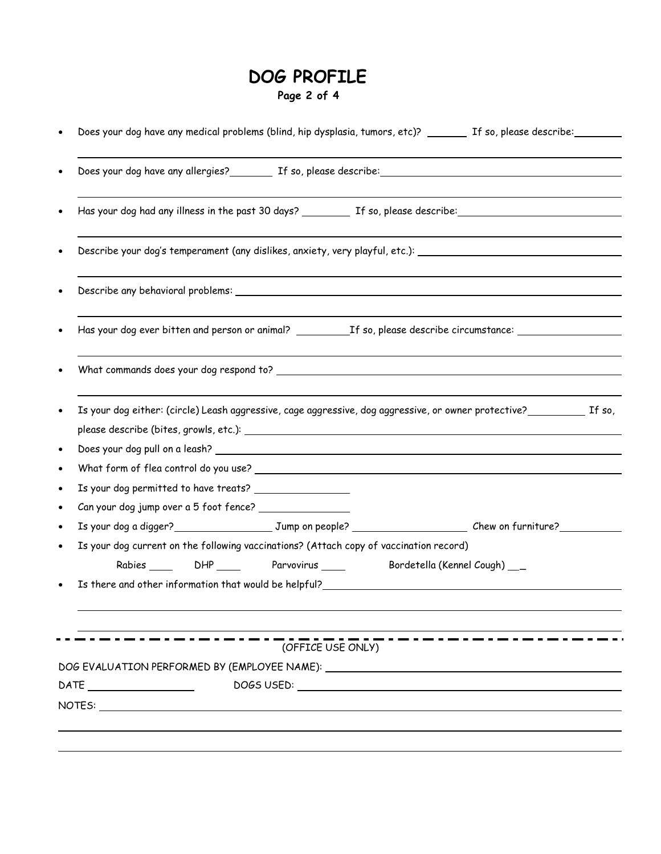## **DOG PROFILE Page 2 of 4**

|                                                                                  |                                         |                                                                                                                                                                                                                                | Does your dog have any allergies? The so, please describe: and the summary control of the set of the solution                                                                                                                  |  |
|----------------------------------------------------------------------------------|-----------------------------------------|--------------------------------------------------------------------------------------------------------------------------------------------------------------------------------------------------------------------------------|--------------------------------------------------------------------------------------------------------------------------------------------------------------------------------------------------------------------------------|--|
|                                                                                  |                                         |                                                                                                                                                                                                                                |                                                                                                                                                                                                                                |  |
|                                                                                  |                                         |                                                                                                                                                                                                                                | Describe your dog's temperament (any dislikes, anxiety, very playful, etc.): \\conconnection doginal temperature                                                                                                               |  |
|                                                                                  |                                         |                                                                                                                                                                                                                                | Describe any behavioral problems: \\espirit \\espirit \\espirit \\espirit \\espirit \\espirit \\espirit \\espirit \\espirit \\espirit \\espirit \\espirit \\espirit \\espirit \\espirit \\espirit \\espirit \\espirit \\espiri |  |
|                                                                                  |                                         |                                                                                                                                                                                                                                | Has your dog ever bitten and person or animal? __________________________________                                                                                                                                              |  |
|                                                                                  |                                         |                                                                                                                                                                                                                                |                                                                                                                                                                                                                                |  |
|                                                                                  |                                         |                                                                                                                                                                                                                                | Is your dog either: (circle) Leash aggressive, cage aggressive, dog aggressive, or owner protective? The so,                                                                                                                   |  |
|                                                                                  |                                         |                                                                                                                                                                                                                                |                                                                                                                                                                                                                                |  |
|                                                                                  |                                         |                                                                                                                                                                                                                                |                                                                                                                                                                                                                                |  |
|                                                                                  |                                         |                                                                                                                                                                                                                                |                                                                                                                                                                                                                                |  |
| Is your dog permitted to have treats?                                            |                                         |                                                                                                                                                                                                                                |                                                                                                                                                                                                                                |  |
| Can your dog jump over a 5 foot fence?                                           |                                         |                                                                                                                                                                                                                                |                                                                                                                                                                                                                                |  |
|                                                                                  |                                         |                                                                                                                                                                                                                                | Is your dog a digger?___________________________Jump on people? ___________________________Chew on furniture?_________                                                                                                         |  |
|                                                                                  |                                         | Is your dog current on the following vaccinations? (Attach copy of vaccination record)                                                                                                                                         |                                                                                                                                                                                                                                |  |
|                                                                                  | Rabies _____ DHP _____ Parvovirus _____ |                                                                                                                                                                                                                                | Bordetella (Kennel Cough) __                                                                                                                                                                                                   |  |
|                                                                                  |                                         | Is there and other information that would be helpful?                                                                                                                                                                          |                                                                                                                                                                                                                                |  |
|                                                                                  | (OFFICE USE ONLY)                       |                                                                                                                                                                                                                                | - - - - - - - - - - - - - - -                                                                                                                                                                                                  |  |
|                                                                                  |                                         |                                                                                                                                                                                                                                |                                                                                                                                                                                                                                |  |
| DOG EVALUATION PERFORMED BY (EMPLOYEE NAME): ___________________________________ |                                         |                                                                                                                                                                                                                                |                                                                                                                                                                                                                                |  |
|                                                                                  |                                         | DOGS USED: The contract of the contract of the contract of the contract of the contract of the contract of the contract of the contract of the contract of the contract of the contract of the contract of the contract of the |                                                                                                                                                                                                                                |  |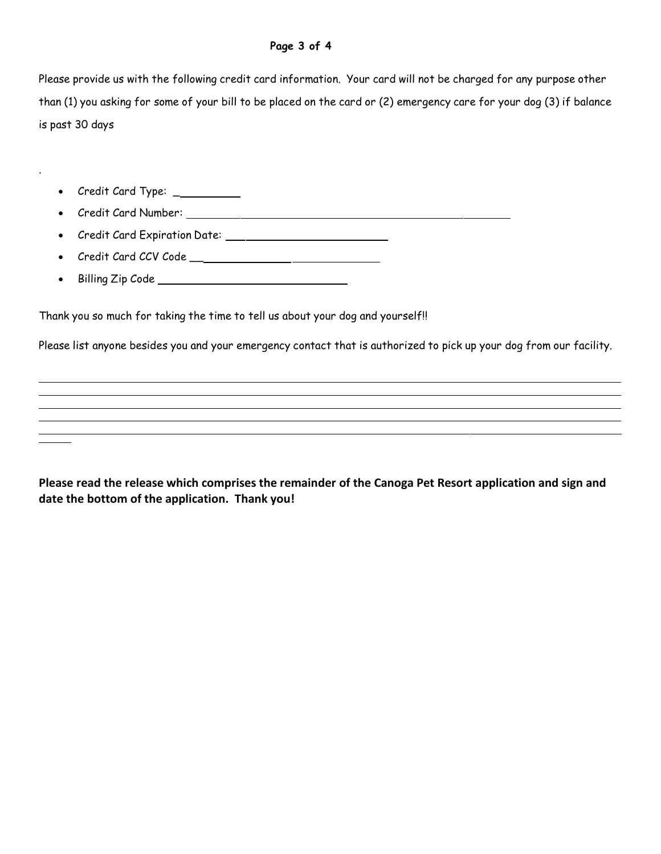Please provide us with the following credit card information. Your card will not be charged for any purpose other than (1) you asking for some of your bill to be placed on the card or (2) emergency care for your dog (3) if balance is past 30 days

• Credit Card Type: \_\_\_\_\_\_\_\_\_\_

.

- Credit Card Number:
- Credit Card Expiration Date: 1988 1988 1988 1989 1988 1989 1988 1988 1988 1988 1988 1988 1988 1988 1988 1988 1988 1988 1988 1988 1988 1988 1988 1988 1988 1988 1988 1988 1988 1988 1988 1988 1988 1988 1988 1988 1988 1988 1
- Credit Card CCV Code \_\_
- Billing Zip Code

Thank you so much for taking the time to tell us about your dog and yourself!!

Please list anyone besides you and your emergency contact that is authorized to pick up your dog from our facility.

**Please read the release which comprises the remainder of the Canoga Pet Resort application and sign and date the bottom of the application. Thank you!**